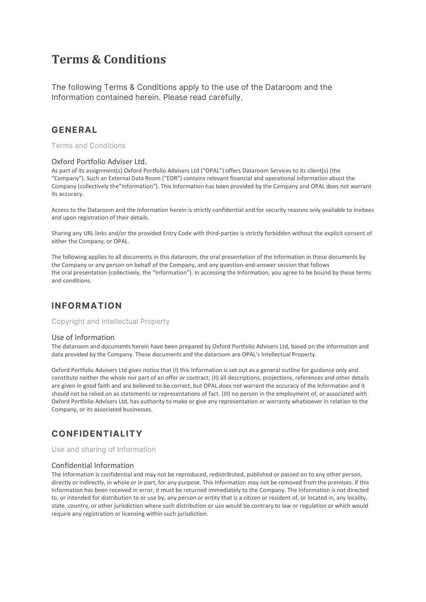# **Terms & Conditions**

The following Terms & Conditions apply to the use of the Dataroom and the Information contained herein. Please read carefully.

### **GENERAL**

Terms and Conditions

### Oxford Portfolio Adviser Ltd.

As part of its assignment(s) Oxford Portfolio Advisers Ltd ("OPAL") offers Dataroom Services to its client(s) (the "Company"). Such an External Data Room ("EDR") contains relevant financial and operational information about the Company (collectively the"Information"). This Information has been provided by the Company and OPAL does not warrant its accuracy.

Access to the Dataroom and the Information herein is strictly confidential and for security reasons only available to invitees and upon registration of their details.

Sharing any URL links and/or the provided Entry Code with third-parties is strictly forbidden without the explicit consent of either the Company, or OPAL.

The following applies to all documents in this dataroom, the oral presentation of the information in these documents by the Company or any person on behalf of the Company, and any question-and-answer session that follows the oral presentation (collectively, the "Information"). In accessing the Information, you agree to be bound by these terms and conditions.

### **INFORMATION**

Copyright and Intellectual Property

### Use of Information

The dataroom and documents herein have been prepared by Oxford Portfolio Advisers Ltd, based on the information and data provided by the Company. These documents and the dataroom are OPAL's Intellectual Property.

Oxford Portfolio Advisers Ltd gives notice that (I) this Information is set out as a general outline for guidance only and constitute neither the whole nor part of an offer or contract; (II) all descriptions, projections, references and other details are given in good faith and are believed to be correct, but OPAL does not warrant the accuracy of the Information and it should not be relied on as statements or representations of fact. (III) no person in the employment of, or associated with Oxford Portfolio Advisers Ltd, has authority to make or give any representation or warranty whatsoever in relation to the Company, or its associated businesses.

### **CONFIDENTIALITY**

Use and sharing of Information

### Confidential Information

The Information is confidential and may not be reproduced, redistributed, published or passed on to any other person, directly or indirectly, in whole or in part, for any purpose. This Information may not be removed from the premises. If this Information has been received in error, it must be returned immediately to the Company. The Information is not directed to, or intended for distribution to or use by, any person or entity that is a citizen or resident of, or located in, any locality, state, country, or other jurisdiction where such distribution or use would be contrary to law or regulation or which would require any registration or licensing within such jurisdiction.